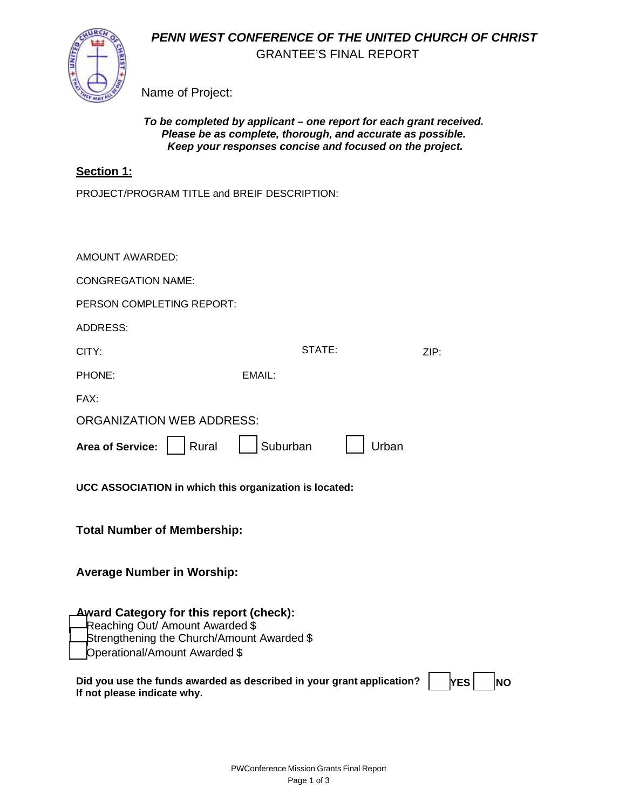*PENN WEST CONFERENCE OF THE UNITED CHURCH OF CHRIST*



GRANTEE'S FINAL REPORT

Name of Project:

### *To be completed by applicant – one report for each grant received. Please be as complete, thorough, and accurate as possible. Keep your responses concise and focused on the project.*

# **Section 1:**

PROJECT/PROGRAM TITLE and BREIF DESCRIPTION:

| AMOUNT AWARDED:                                                                                                                                                                                 |                                                                       |                         |  |  |  |
|-------------------------------------------------------------------------------------------------------------------------------------------------------------------------------------------------|-----------------------------------------------------------------------|-------------------------|--|--|--|
| <b>CONGREGATION NAME:</b>                                                                                                                                                                       |                                                                       |                         |  |  |  |
| PERSON COMPLETING REPORT:                                                                                                                                                                       |                                                                       |                         |  |  |  |
| <b>ADDRESS:</b>                                                                                                                                                                                 |                                                                       |                         |  |  |  |
| CITY:                                                                                                                                                                                           | STATE:                                                                | ZIP:                    |  |  |  |
| PHONE:                                                                                                                                                                                          | EMAIL:                                                                |                         |  |  |  |
| FAX:                                                                                                                                                                                            |                                                                       |                         |  |  |  |
| <b>ORGANIZATION WEB ADDRESS:</b>                                                                                                                                                                |                                                                       |                         |  |  |  |
| Rural<br><b>Area of Service:</b>                                                                                                                                                                | Suburban<br>Urban                                                     |                         |  |  |  |
| UCC ASSOCIATION in which this organization is located:<br><b>Total Number of Membership:</b><br><b>Average Number in Worship:</b>                                                               |                                                                       |                         |  |  |  |
|                                                                                                                                                                                                 |                                                                       |                         |  |  |  |
| <b>Award Category for this report (check):</b><br>Reaching Out/ Amount Awarded \$<br>Strengthening the Church/Amount Awarded \$<br>Operational/Amount Awarded \$<br>If not please indicate why. | Did you use the funds awarded as described in your grant application? | <b>YES</b><br><b>NO</b> |  |  |  |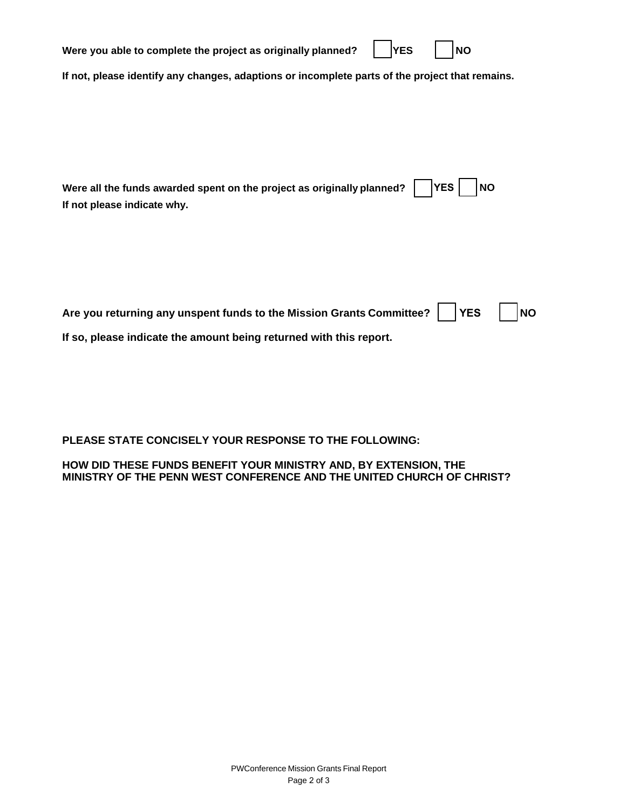| Were you able to complete the project as originally planned?<br><b>YES</b><br><b>NO</b>         |  |  |  |  |  |
|-------------------------------------------------------------------------------------------------|--|--|--|--|--|
| If not, please identify any changes, adaptions or incomplete parts of the project that remains. |  |  |  |  |  |
|                                                                                                 |  |  |  |  |  |
|                                                                                                 |  |  |  |  |  |
|                                                                                                 |  |  |  |  |  |
| <b>YES</b><br>Were all the funds awarded spent on the project as originally planned?<br>ΝO      |  |  |  |  |  |
| If not please indicate why.                                                                     |  |  |  |  |  |
|                                                                                                 |  |  |  |  |  |
|                                                                                                 |  |  |  |  |  |

| Are you returning any unspent funds to the Mission Grants Committee? THES NO |  |  |  |  |
|------------------------------------------------------------------------------|--|--|--|--|
| If so, please indicate the amount being returned with this report.           |  |  |  |  |

**PLEASE STATE CONCISELY YOUR RESPONSE TO THE FOLLOWING:**

**HOW DID THESE FUNDS BENEFIT YOUR MINISTRY AND, BY EXTENSION, THE MINISTRY OF THE PENN WEST CONFERENCE AND THE UNITED CHURCH OF CHRIST?**